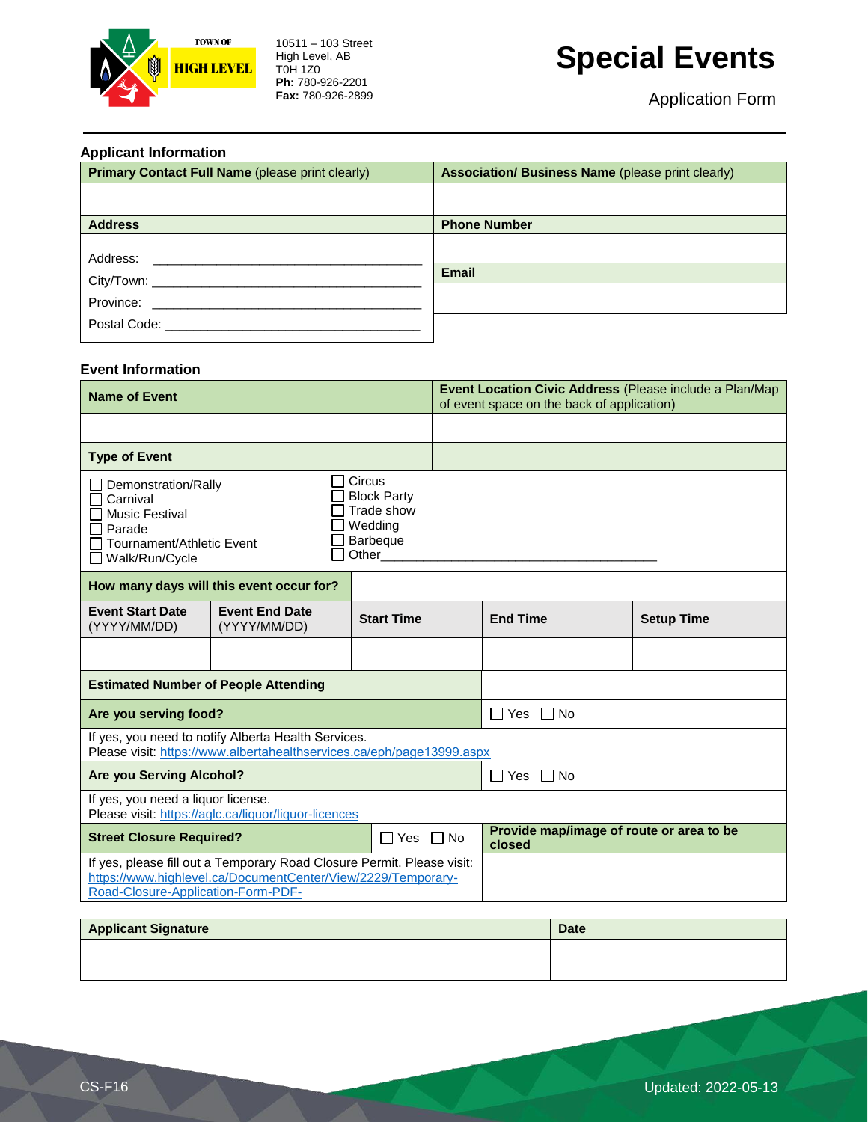

10511 – 103 Street High Level, AB T0H 1Z0 **Ph:** 780-926-2201 **Fax:** 780-926-2899

# **Special Events**

| <b>Applicant Information</b>                            |                                                          |  |  |  |  |  |
|---------------------------------------------------------|----------------------------------------------------------|--|--|--|--|--|
| <b>Primary Contact Full Name (please print clearly)</b> | <b>Association/ Business Name (please print clearly)</b> |  |  |  |  |  |
|                                                         |                                                          |  |  |  |  |  |
|                                                         |                                                          |  |  |  |  |  |
| <b>Address</b>                                          | <b>Phone Number</b>                                      |  |  |  |  |  |
|                                                         |                                                          |  |  |  |  |  |
| Address:                                                |                                                          |  |  |  |  |  |
| City/Town: _____________                                | <b>Email</b>                                             |  |  |  |  |  |
| Province: New York Province:                            |                                                          |  |  |  |  |  |
|                                                         |                                                          |  |  |  |  |  |
|                                                         |                                                          |  |  |  |  |  |

#### **Event Information**

| <b>Name of Event</b>                                                                                                                                                                                   |                                       | Event Location Civic Address (Please include a Plan/Map<br>of event space on the back of application) |                                                    |                      |                   |  |  |
|--------------------------------------------------------------------------------------------------------------------------------------------------------------------------------------------------------|---------------------------------------|-------------------------------------------------------------------------------------------------------|----------------------------------------------------|----------------------|-------------------|--|--|
|                                                                                                                                                                                                        |                                       |                                                                                                       |                                                    |                      |                   |  |  |
| <b>Type of Event</b>                                                                                                                                                                                   |                                       |                                                                                                       |                                                    |                      |                   |  |  |
| Circus<br>Demonstration/Rally<br><b>Block Party</b><br>Carnival<br>Trade show<br><b>Music Festival</b><br>Wedding<br>Parade<br><b>Barbeque</b><br>Tournament/Athletic Event<br>Other<br>Walk/Run/Cycle |                                       |                                                                                                       |                                                    |                      |                   |  |  |
| How many days will this event occur for?                                                                                                                                                               |                                       |                                                                                                       |                                                    |                      |                   |  |  |
| <b>Event Start Date</b><br>(YYYY/MM/DD)                                                                                                                                                                | <b>Event End Date</b><br>(YYYY/MM/DD) | <b>Start Time</b>                                                                                     |                                                    | <b>End Time</b>      | <b>Setup Time</b> |  |  |
|                                                                                                                                                                                                        |                                       |                                                                                                       |                                                    |                      |                   |  |  |
| <b>Estimated Number of People Attending</b>                                                                                                                                                            |                                       |                                                                                                       |                                                    |                      |                   |  |  |
| Are you serving food?                                                                                                                                                                                  |                                       |                                                                                                       |                                                    | $\Box$ Yes $\Box$ No |                   |  |  |
| If yes, you need to notify Alberta Health Services.<br>Please visit: https://www.albertahealthservices.ca/eph/page13999.aspx                                                                           |                                       |                                                                                                       |                                                    |                      |                   |  |  |
| <b>Are you Serving Alcohol?</b>                                                                                                                                                                        |                                       |                                                                                                       |                                                    | $\Box$ Yes $\Box$ No |                   |  |  |
| If yes, you need a liquor license.<br>Please visit: https://aglc.ca/liquor/liquor-licences                                                                                                             |                                       |                                                                                                       |                                                    |                      |                   |  |  |
| <b>Street Closure Required?</b><br>∩Yes ∩No                                                                                                                                                            |                                       |                                                                                                       | Provide map/image of route or area to be<br>closed |                      |                   |  |  |
| If yes, please fill out a Temporary Road Closure Permit. Please visit:<br>https://www.highlevel.ca/DocumentCenter/View/2229/Temporary-                                                                 |                                       |                                                                                                       |                                                    |                      |                   |  |  |
| Road-Closure-Application-Form-PDF-                                                                                                                                                                     |                                       |                                                                                                       |                                                    |                      |                   |  |  |

| <b>Applicant Signature</b> | <b>Date</b> |
|----------------------------|-------------|
|                            |             |
|                            |             |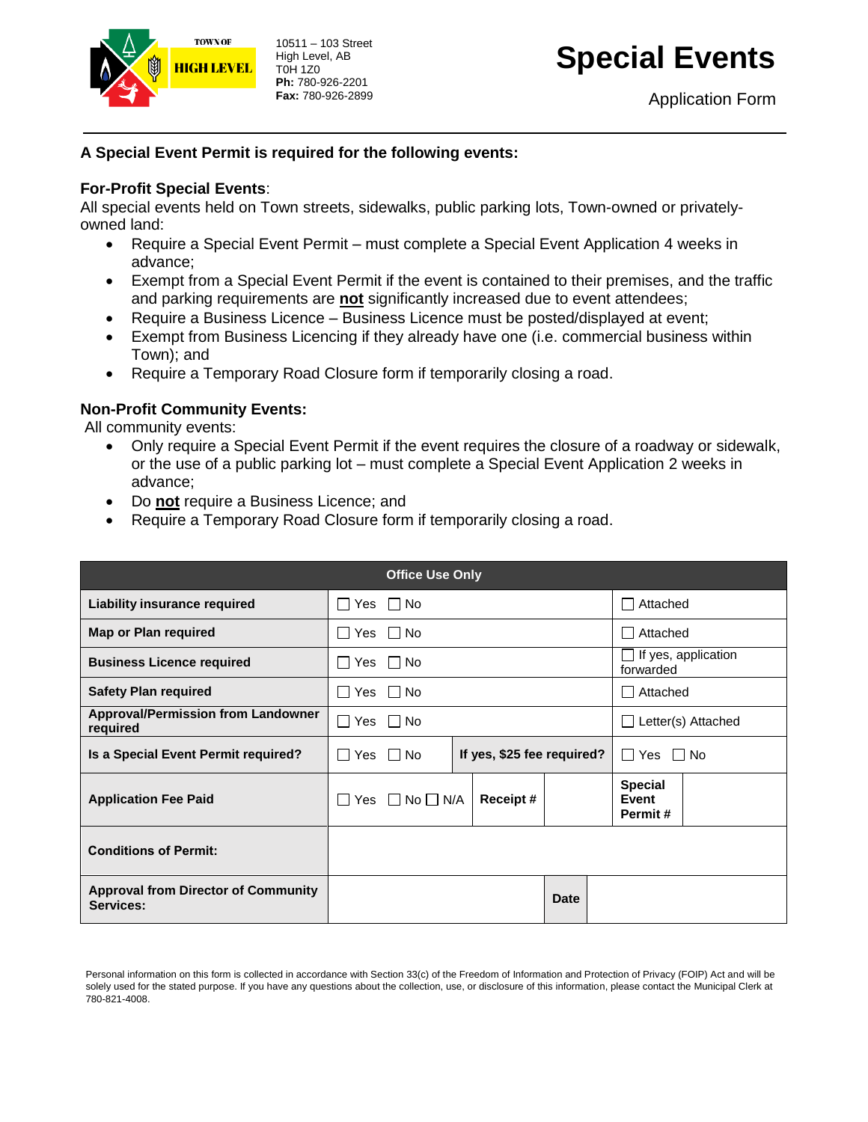

10511 – 103 Street High Level, AB T0H 1Z0 **Ph:** 780-926-2201 **Fax:** 780-926-2899

# **Special Events**

Application Form

### **A Special Event Permit is required for the following events:**

### **For-Profit Special Events**:

All special events held on Town streets, sidewalks, public parking lots, Town-owned or privatelyowned land:

- Require a Special Event Permit must complete a Special Event Application 4 weeks in advance;
- Exempt from a Special Event Permit if the event is contained to their premises, and the traffic and parking requirements are **not** significantly increased due to event attendees;
- Require a Business Licence Business Licence must be posted/displayed at event;
- Exempt from Business Licencing if they already have one (i.e. commercial business within Town); and
- Require a Temporary Road Closure form if temporarily closing a road.

### **Non-Profit Community Events:**

All community events:

- Only require a Special Event Permit if the event requires the closure of a roadway or sidewalk, or the use of a public parking lot – must complete a Special Event Application 2 weeks in advance;
- Do **not** require a Business Licence; and
- Require a Temporary Road Closure form if temporarily closing a road.

| <b>Office Use Only</b>                                  |                                                   |                                 |  |                                         |            |                                    |  |
|---------------------------------------------------------|---------------------------------------------------|---------------------------------|--|-----------------------------------------|------------|------------------------------------|--|
| Liability insurance required                            | $\Box$ Yes $\Box$ No                              |                                 |  | Attached                                |            |                                    |  |
| <b>Map or Plan required</b>                             | Yes $\Box$ No<br>$\mathbf{1}$                     |                                 |  |                                         | □ Attached |                                    |  |
| <b>Business Licence required</b>                        | Yes ΠNo                                           |                                 |  | $\Box$ If yes, application<br>forwarded |            |                                    |  |
| <b>Safety Plan required</b>                             | Yes □ No                                          |                                 |  | □ Attached                              |            |                                    |  |
| <b>Approval/Permission from Landowner</b><br>required   | $\Box$ Yes $\Box$ No                              |                                 |  | Letter(s) Attached                      |            |                                    |  |
| Is a Special Event Permit required?                     | If yes, \$25 fee required?<br>Yes II No<br>$\Box$ |                                 |  | $\Box$ Yes $\Box$ No                    |            |                                    |  |
| <b>Application Fee Paid</b>                             |                                                   | $\Box$ Yes $\Box$ No $\Box$ N/A |  | Receipt#                                |            | <b>Special</b><br>Event<br>Permit# |  |
| <b>Conditions of Permit:</b>                            |                                                   |                                 |  |                                         |            |                                    |  |
| <b>Approval from Director of Community</b><br>Services: |                                                   |                                 |  |                                         | Date       |                                    |  |

Personal information on this form is collected in accordance with Section 33(c) of the Freedom of Information and Protection of Privacy (FOIP) Act and will be solely used for the stated purpose. If you have any questions about the collection, use, or disclosure of this information, please contact the Municipal Clerk at 780-821-4008.